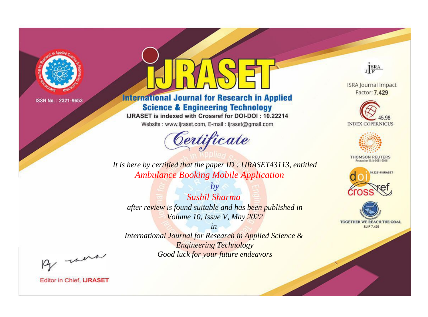

# **International Journal for Research in Applied Science & Engineering Technology**

IJRASET is indexed with Crossref for DOI-DOI: 10.22214

Website: www.ijraset.com, E-mail: ijraset@gmail.com



JERA

**ISRA Journal Impact** Factor: 7.429





**THOMSON REUTERS** 



TOGETHER WE REACH THE GOAL **SJIF 7.429** 

*It is here by certified that the paper ID : IJRASET43113, entitled Ambulance Booking Mobile Application*

*by Sushil Sharma after review is found suitable and has been published in Volume 10, Issue V, May 2022*

*in* 

*International Journal for Research in Applied Science & Engineering Technology Good luck for your future endeavors*

By morn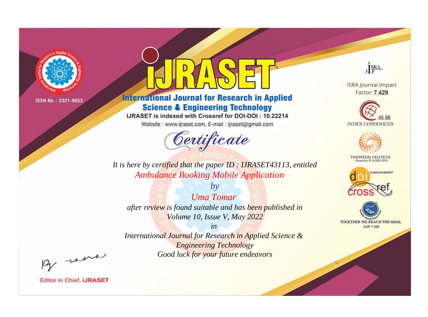

# **International Journal for Research in Applied Science & Engineering Technology**

IJRASET is indexed with Crossref for DOI-DOI: 10.22214

Website: www.ijraset.com, E-mail: ijraset@gmail.com



JERA

**ISRA Journal Impact** Factor: 7.429





**THOMSON REUTERS** 



TOGETHER WE REACH THE GOAL **SJIF 7.429** 

It is here by certified that the paper ID: IJRASET43113, entitled **Ambulance Booking Mobile Application** 

 $b\nu$ **Uma Tomar** after review is found suitable and has been published in Volume 10, Issue V, May 2022

 $in$ International Journal for Research in Applied Science & **Engineering Technology** 

Good luck for your future endeavors

By morn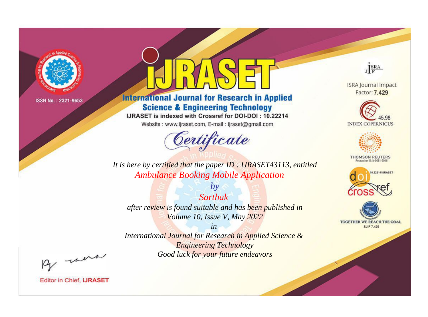

# **International Journal for Research in Applied Science & Engineering Technology**

IJRASET is indexed with Crossref for DOI-DOI: 10.22214

Website: www.ijraset.com, E-mail: ijraset@gmail.com



JERA

**ISRA Journal Impact** Factor: 7.429





**THOMSON REUTERS** 



TOGETHER WE REACH THE GOAL **SJIF 7.429** 

*It is here by certified that the paper ID : IJRASET43113, entitled Ambulance Booking Mobile Application*

*Sarthak after review is found suitable and has been published in Volume 10, Issue V, May 2022*

*by*

*in* 

*International Journal for Research in Applied Science & Engineering Technology Good luck for your future endeavors*

By morn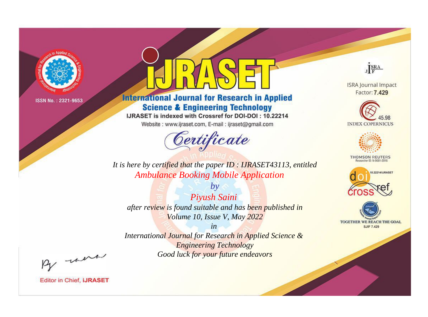

# **International Journal for Research in Applied Science & Engineering Technology**

IJRASET is indexed with Crossref for DOI-DOI: 10.22214

Website: www.ijraset.com, E-mail: ijraset@gmail.com



JERA

**ISRA Journal Impact** Factor: 7.429





**THOMSON REUTERS** 



TOGETHER WE REACH THE GOAL **SJIF 7.429** 

*It is here by certified that the paper ID : IJRASET43113, entitled Ambulance Booking Mobile Application*

*by Piyush Saini after review is found suitable and has been published in Volume 10, Issue V, May 2022*

*in* 

*International Journal for Research in Applied Science & Engineering Technology Good luck for your future endeavors*

By morn